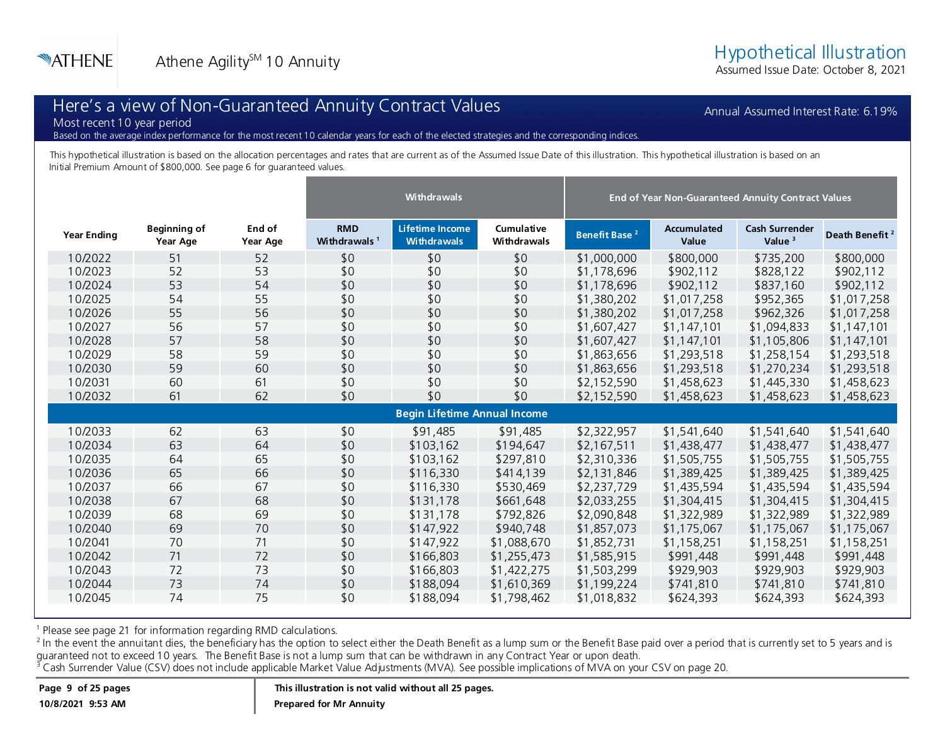Assumed Issue Date: October 8, 2021

Annual Assumed Interest Rate: 6.19%

## Here's a view of Non-Guaranteed Annuity Contract Values

Most recent 10 year period

Based on the average index performance for the most recent 10 calendar years for each of the elected strategies and the corresponding indices.

This hypothetical illustration is based on the allocation percentages and rates that are current as of the Assumed Issue Date of this illustration. This hypothetical illustration is based on an Initial Premium Amount of \$800,000. See page 6 for guaranteed values.

|                                     |                                 |                    | <b>Withdrawals</b>                     |                                       |                                  | End of Year Non-Guaranteed Annuity Contract Values |                      |                                    |                            |  |  |
|-------------------------------------|---------------------------------|--------------------|----------------------------------------|---------------------------------------|----------------------------------|----------------------------------------------------|----------------------|------------------------------------|----------------------------|--|--|
| <b>Year Ending</b>                  | <b>Beginning of</b><br>Year Age | End of<br>Year Age | <b>RMD</b><br>Withdrawals <sup>1</sup> | Lifetime Income<br><b>Withdrawals</b> | Cumulative<br><b>Withdrawals</b> | Benefit Base <sup>2</sup>                          | Accumulated<br>Value | <b>Cash Surrender</b><br>Value $3$ | Death Benefit <sup>2</sup> |  |  |
| 10/2022                             | 51                              | 52                 | \$0                                    | \$0                                   | \$0                              | \$1,000,000                                        | \$800,000            | \$735,200                          | \$800,000                  |  |  |
| 10/2023                             | 52                              | 53                 | \$0                                    | \$0                                   | \$0                              | \$1,178,696                                        | \$902,112            | \$828,122                          | \$902,112                  |  |  |
| 10/2024                             | 53                              | 54                 | \$0                                    | \$0                                   | \$0                              | \$1,178,696                                        | \$902,112            | \$837,160                          | \$902,112                  |  |  |
| 10/2025                             | 54                              | 55                 | \$0                                    | \$0                                   | \$0                              | \$1,380,202                                        | \$1,017,258          | \$952,365                          | \$1,017,258                |  |  |
| 10/2026                             | 55                              | 56                 | \$0                                    | \$0                                   | \$0                              | \$1,380,202                                        | \$1,017,258          | \$962,326                          | \$1,017,258                |  |  |
| 10/2027                             | 56                              | 57                 | \$0                                    | \$0                                   | \$0                              | \$1,607,427                                        | \$1,147,101          | \$1,094,833                        | \$1,147,101                |  |  |
| 10/2028                             | 57                              | 58                 | \$0                                    | \$0                                   | \$0                              | \$1,607,427                                        | \$1,147,101          | \$1,105,806                        | \$1,147,101                |  |  |
| 10/2029                             | 58                              | 59                 | \$0                                    | \$0                                   | \$0                              | \$1,863,656                                        | \$1,293,518          | \$1,258,154                        | \$1,293,518                |  |  |
| 10/2030                             | 59                              | 60                 | \$0                                    | \$0                                   | \$0                              | \$1,863,656                                        | \$1,293,518          | \$1,270,234                        | \$1,293,518                |  |  |
| 10/2031                             | 60                              | 61                 | \$0                                    | \$0                                   | \$0                              | \$2,152,590                                        | \$1,458,623          | \$1,445,330                        | \$1,458,623                |  |  |
| 10/2032                             | 61                              | 62                 | \$0                                    | \$0                                   | \$0                              | \$2,152,590                                        | \$1,458,623          | \$1,458,623                        | \$1,458,623                |  |  |
| <b>Begin Lifetime Annual Income</b> |                                 |                    |                                        |                                       |                                  |                                                    |                      |                                    |                            |  |  |
| 10/2033                             | 62                              | 63                 | \$0                                    | \$91,485                              | \$91,485                         | \$2,322,957                                        | \$1,541,640          | \$1,541,640                        | \$1,541,640                |  |  |
| 10/2034                             | 63                              | 64                 | \$0                                    | \$103,162                             | \$194,647                        | \$2,167,511                                        | \$1,438,477          | \$1,438,477                        | \$1,438,477                |  |  |
| 10/2035                             | 64                              | 65                 | \$0                                    | \$103,162                             | \$297,810                        | \$2,310,336                                        | \$1,505,755          | \$1,505,755                        | \$1,505,755                |  |  |
| 10/2036                             | 65                              | 66                 | \$0                                    | \$116,330                             | \$414,139                        | \$2,131,846                                        | \$1,389,425          | \$1,389,425                        | \$1,389,425                |  |  |
| 10/2037                             | 66                              | 67                 | \$0                                    | \$116,330                             | \$530,469                        | \$2,237,729                                        | \$1,435,594          | \$1,435,594                        | \$1,435,594                |  |  |
| 10/2038                             | 67                              | 68                 | \$0                                    | \$131,178                             | \$661,648                        | \$2,033,255                                        | \$1,304,415          | \$1,304,415                        | \$1,304,415                |  |  |
| 10/2039                             | 68                              | 69                 | \$0                                    | \$131,178                             | \$792,826                        | \$2,090,848                                        | \$1,322,989          | \$1,322,989                        | \$1,322,989                |  |  |
| 10/2040                             | 69                              | 70                 | \$0                                    | \$147,922                             | \$940,748                        | \$1,857,073                                        | \$1,175,067          | \$1,175,067                        | \$1,175,067                |  |  |
| 10/2041                             | 70                              | 71                 | \$0                                    | \$147,922                             | \$1,088,670                      | \$1,852,731                                        | \$1,158,251          | \$1,158,251                        | \$1,158,251                |  |  |
| 10/2042                             | 71                              | 72                 | \$0                                    | \$166,803                             | \$1,255,473                      | \$1,585,915                                        | \$991,448            | \$991,448                          | \$991,448                  |  |  |
| 10/2043                             | 72                              | 73                 | \$0                                    | \$166,803                             | \$1,422,275                      | \$1,503,299                                        | \$929,903            | \$929,903                          | \$929,903                  |  |  |
| 10/2044                             | 73                              | 74                 | \$0                                    | \$188,094                             | \$1,610,369                      | \$1,199,224                                        | \$741,810            | \$741,810                          | \$741,810                  |  |  |
| 10/2045                             | 74                              | 75                 | \$0                                    | \$188,094                             | \$1,798,462                      | \$1,018,832                                        | \$624,393            | \$624,393                          | \$624,393                  |  |  |

<sup>1</sup> Please see page 21 for information regarding RMD calculations.

<sup>2</sup> In the event the annuitant dies, the beneficiary has the option to select either the Death Benefit as a lump sum or the Benefit Base paid over a period that is currently set to 5 years and is guaranteed not to exceed 10 years. The Benefit Base is not a lump sum that can be withdrawn in any Contract Year or upon death.

<sup>3</sup> Cash Surrender Value (CSV) does not include applicable Market Value Adjustments (MVA). See possible implications of MVA on your CSV on page 20.